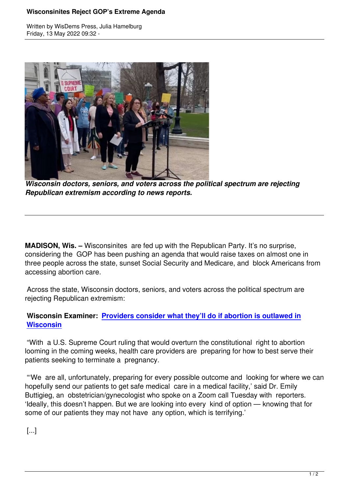Written by WisDems Press, Julia Hamelburg



*Wisconsin doctors, seniors, and voters across the political spectrum are rejecting Republican extremism according to news reports.*

**MADISON, Wis. –** Wisconsinites are fed up with the Republican Party. It's no surprise, considering the GOP has been pushing an agenda that would raise taxes on almost one in three people across the state, sunset Social Security and Medicare, and block Americans from accessing abortion care.

 Across the state, Wisconsin doctors, seniors, and voters across the political spectrum are rejecting Republican extremism:

## **Wisconsin Examiner: Providers consider what they'll do if abortion is outlawed in Wisconsin**

 "With a U.S. Supreme [Court ruling that would overturn the constitutional right to abortio](https://wisdems.us1.list-manage.com/track/click?u=5fdce0a26f89c28febc13998d&id=cb563e43b2&e=c8d9c6b5a0)n [looming in th](https://wisdems.us1.list-manage.com/track/click?u=5fdce0a26f89c28febc13998d&id=cb563e43b2&e=c8d9c6b5a0)e coming weeks, health care providers are preparing for how to best serve their patients seeking to terminate a pregnancy.

 "'We are all, unfortunately, preparing for every possible outcome and looking for where we can hopefully send our patients to get safe medical care in a medical facility,' said Dr. Emily Buttigieg, an obstetrician/gynecologist who spoke on a Zoom call Tuesday with reporters. 'Ideally, this doesn't happen. But we are looking into every kind of option — knowing that for some of our patients they may not have any option, which is terrifying.'

[...]